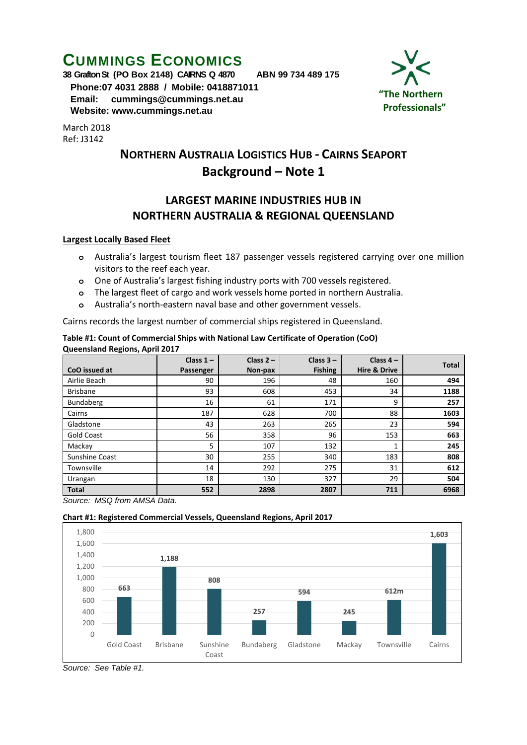# **CUMMINGS ECONOMICS**

**38 Grafton St (PO Box 2148) CAIRNS Q 4870 ABN 99 734 489 175**

 **Phone:07 4031 2888 / Mobile: 0418871011 Email: [cummings@cummings.net.au](mailto:cummings@cummings.net.au) Website: www.cummings.net.au**

March 2018 Ref: J3142



## **NORTHERN AUSTRALIA LOGISTICS HUB - CAIRNS SEAPORT Background – Note 1**

### **LARGEST MARINE INDUSTRIES HUB IN NORTHERN AUSTRALIA & REGIONAL QUEENSLAND**

#### **Largest Locally Based Fleet**

- **o** Australia's largest tourism fleet 187 passenger vessels registered carrying over one million visitors to the reef each year.
- **o** One of Australia's largest fishing industry ports with 700 vessels registered.
- **o** The largest fleet of cargo and work vessels home ported in northern Australia.
- **o** Australia's north-eastern naval base and other government vessels.

Cairns records the largest number of commercial ships registered in Queensland.

| Table #1: Count of Commercial Ships with National Law Certificate of Operation (CoO) |  |
|--------------------------------------------------------------------------------------|--|
| <b>Queensland Regions, April 2017</b>                                                |  |

| CoO issued at     | Class $1 -$<br>Passenger | Class $2 -$<br>Non-pax | Class $3 -$<br><b>Fishing</b> | Class $4-$<br><b>Hire &amp; Drive</b> | <b>Total</b> |
|-------------------|--------------------------|------------------------|-------------------------------|---------------------------------------|--------------|
| Airlie Beach      | 90                       | 196                    | 48                            | 160                                   | 494          |
| <b>Brisbane</b>   | 93                       | 608                    | 453                           | 34                                    | 1188         |
| Bundaberg         | 16                       | 61                     | 171                           | 9                                     | 257          |
| Cairns            | 187                      | 628                    | 700                           | 88                                    | 1603         |
| Gladstone         | 43                       | 263                    | 265                           | 23                                    | 594          |
| <b>Gold Coast</b> | 56                       | 358                    | 96                            | 153                                   | 663          |
| Mackay            | 5                        | 107                    | 132                           |                                       | 245          |
| Sunshine Coast    | 30                       | 255                    | 340                           | 183                                   | 808          |
| Townsville        | 14                       | 292                    | 275                           | 31                                    | 612          |
| Urangan           | 18                       | 130                    | 327                           | 29                                    | 504          |
| <b>Total</b>      | 552                      | 2898                   | 2807                          | 711                                   | 6968         |

*Source: MSQ from AMSA Data.*

#### **Chart #1: Registered Commercial Vessels, Queensland Regions, April 2017**



*Source: See Table #1.*